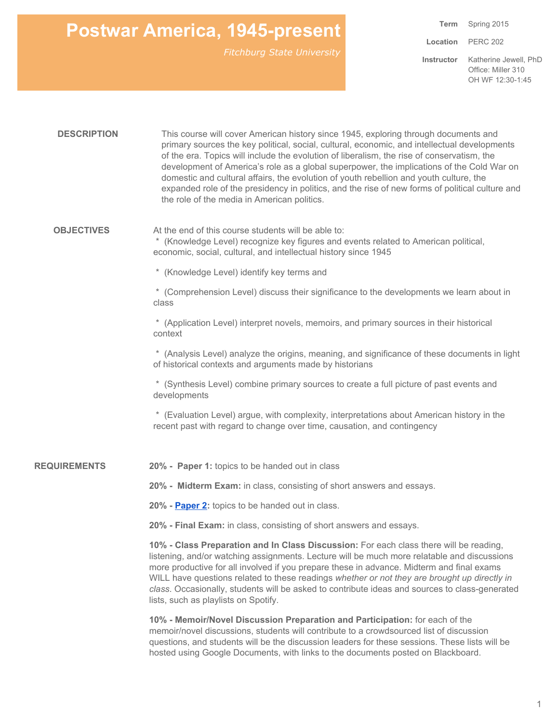**Term** Spring 2015 **Location Instructor** PERC 202 Katherine Jewell, PhD Office: Miller 310 OH WF 12:30-1:45

| <b>DESCRIPTION</b>  | This course will cover American history since 1945, exploring through documents and<br>primary sources the key political, social, cultural, economic, and intellectual developments<br>of the era. Topics will include the evolution of liberalism, the rise of conservatism, the<br>development of America's role as a global superpower, the implications of the Cold War on<br>domestic and cultural affairs, the evolution of youth rebellion and youth culture, the<br>expanded role of the presidency in politics, and the rise of new forms of political culture and<br>the role of the media in American politics. |
|---------------------|----------------------------------------------------------------------------------------------------------------------------------------------------------------------------------------------------------------------------------------------------------------------------------------------------------------------------------------------------------------------------------------------------------------------------------------------------------------------------------------------------------------------------------------------------------------------------------------------------------------------------|
| <b>OBJECTIVES</b>   | At the end of this course students will be able to:<br>* (Knowledge Level) recognize key figures and events related to American political,<br>economic, social, cultural, and intellectual history since 1945                                                                                                                                                                                                                                                                                                                                                                                                              |
|                     | * (Knowledge Level) identify key terms and                                                                                                                                                                                                                                                                                                                                                                                                                                                                                                                                                                                 |
|                     | * (Comprehension Level) discuss their significance to the developments we learn about in<br>class                                                                                                                                                                                                                                                                                                                                                                                                                                                                                                                          |
|                     | * (Application Level) interpret novels, memoirs, and primary sources in their historical<br>context                                                                                                                                                                                                                                                                                                                                                                                                                                                                                                                        |
|                     | * (Analysis Level) analyze the origins, meaning, and significance of these documents in light<br>of historical contexts and arguments made by historians                                                                                                                                                                                                                                                                                                                                                                                                                                                                   |
|                     | * (Synthesis Level) combine primary sources to create a full picture of past events and<br>developments                                                                                                                                                                                                                                                                                                                                                                                                                                                                                                                    |
|                     | * (Evaluation Level) argue, with complexity, interpretations about American history in the<br>recent past with regard to change over time, causation, and contingency                                                                                                                                                                                                                                                                                                                                                                                                                                                      |
| <b>REQUIREMENTS</b> | 20% - Paper 1: topics to be handed out in class                                                                                                                                                                                                                                                                                                                                                                                                                                                                                                                                                                            |
|                     | 20% - Midterm Exam: in class, consisting of short answers and essays.                                                                                                                                                                                                                                                                                                                                                                                                                                                                                                                                                      |
|                     | 20% - Paper 2: topics to be handed out in class.                                                                                                                                                                                                                                                                                                                                                                                                                                                                                                                                                                           |
|                     | 20% - Final Exam: in class, consisting of short answers and essays.                                                                                                                                                                                                                                                                                                                                                                                                                                                                                                                                                        |
|                     | 10% - Class Preparation and In Class Discussion: For each class there will be reading,<br>listening, and/or watching assignments. Lecture will be much more relatable and discussions<br>more productive for all involved if you prepare these in advance. Midterm and final exams<br>WILL have questions related to these readings whether or not they are brought up directly in<br>class. Occasionally, students will be asked to contribute ideas and sources to class-generated<br>lists, such as playlists on Spotify.                                                                                               |
|                     | 10% - Memoir/Novel Discussion Preparation and Participation: for each of the<br>memoir/novel discussions, students will contribute to a crowdsourced list of discussion<br>questions, and students will be the discussion leaders for these sessions. These lists will be<br>hosted using Google Documents, with links to the documents posted on Blackboard.                                                                                                                                                                                                                                                              |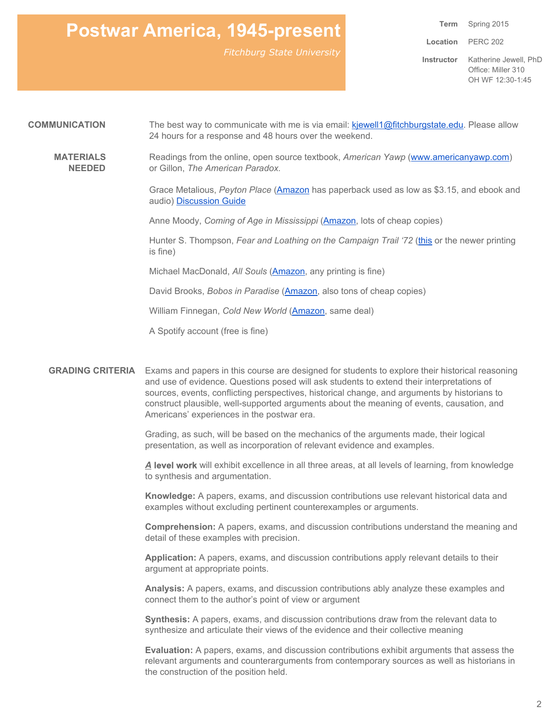*Fitchburg State University*

**Term Location Instructor** Katherine Jewell, PhD Spring 2015 PERC 202 Office: Miller 310 OH WF 12:30-1:45

#### **COMMUNICATION** The best way to communicate with me is via email: [kjewell1@fitchburgstate.edu.](mailto:kjewell1@fitchburgstate.edu) Please allow 24 hours for a response and 48 hours over the weekend.

**MATERIALS NEEDED** Readings from the online, open source textbook, *American Yawp* [\(www.americanyawp.com\)](http://www.americanyawp.com/) or Gillon, *The American Paradox.*

> Grace Metalious, *Peyton Place* [\(Amazon](http://www.amazon.com/Peyton-Place-Hardscrabble-Books-Fiction-England/dp/1555534007) has paperback used as low as \$3.15, and ebook and audio) [Discussion](https://docs.google.com/document/d/1IiS4aTcr7lBbg7Ov4ItUYEHsgtG9-AaO9rgRKFZA5sk/edit) Guide

Anne Moody, *Coming of Age in Mississippi* [\(Amazon,](http://www.amazon.com/Coming-Age-Mississippi-Anne-Moody/dp/0440314887/ref=sr_1_1?s=books&ie=UTF8&qid=1421192619&sr=1-1&keywords=coming+of+age+in+mississippi) lots of cheap copies)

Hunter S. Thompson, *Fear and Loathing on the Campaign Trail '72* [\(this](http://www.amazon.com/Fear-Loathing-Campaign-Trail-72/dp/0446313645/ref=sr_1_2?s=books&ie=UTF8&qid=1421192665&sr=1-2&keywords=fear+and+loathing+on+the+campaign+trail+%2772) or the newer printing is fine)

Michael MacDonald, *All Souls* [\(Amazon](http://www.amazon.com/All-Souls-Family-Story-Southie/dp/0807072133/ref=sr_1_1?s=books&ie=UTF8&qid=1421192707&sr=1-1&keywords=all+souls), any printing is fine)

David Brooks, *Bobos in Paradise* [\(Amazon,](http://www.amazon.com/Bobos-Paradise-Upper-Class-There/dp/0684853787/ref=sr_1_1?s=books&ie=UTF8&qid=1421192753&sr=1-1&keywords=bobos+in+paradise) also tons of cheap copies)

William Finnegan, *Cold New World* [\(Amazon,](http://www.amazon.com/Cold-New-World-Growing-Paperbacks/dp/0375753826/ref=sr_1_1?s=books&ie=UTF8&qid=1421192795&sr=1-1&keywords=Cold+New+world) same deal)

A Spotify account (free is fine)

**GRADING CRITERIA** Exams and papers in this course are designed for students to explore their historical reasoning and use of evidence. Questions posed will ask students to extend their interpretations of sources, events, conflicting perspectives, historical change, and arguments by historians to construct plausible, well-supported arguments about the meaning of events, causation, and Americans' experiences in the postwar era.

> Grading, as such, will be based on the mechanics of the arguments made, their logical presentation, as well as incorporation of relevant evidence and examples.

*A***level work**will exhibit excellence in all three areas, at all levels of learning, from knowledge to synthesis and argumentation.

**Knowledge:**A papers, exams, and discussion contributions use relevant historical data and examples without excluding pertinent counterexamples or arguments.

**Comprehension:**A papers, exams, and discussion contributions understand the meaning and detail of these examples with precision.

**Application:** A papers, exams, and discussion contributions apply relevant details to their argument at appropriate points.

**Analysis:**A papers, exams, and discussion contributions ably analyze these examples and connect them to the author's point of view or argument

**Synthesis:** A papers, exams, and discussion contributions draw from the relevant data to synthesize and articulate their views of the evidence and their collective meaning

**Evaluation:**A papers, exams, and discussion contributions exhibit arguments that assess the relevant arguments and counterarguments from contemporary sources as well as historians in the construction of the position held.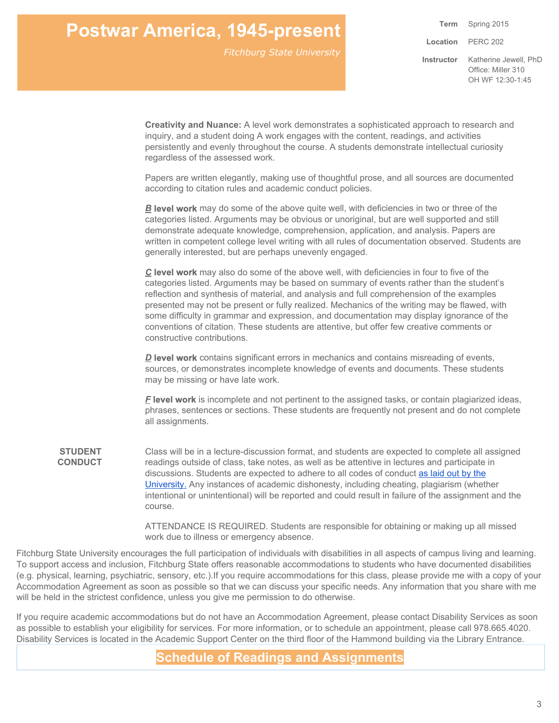*Fitchburg State University*

**Term Location Instructor** Spring 2015 PERC 202 Katherine Jewell, PhD Office: Miller 310 OH WF 12:30-1:45

**Creativity and Nuance:**A level work demonstrates a sophisticated approach to research and inquiry, and a student doing A work engages with the content, readings, and activities persistently and evenly throughout the course. A students demonstrate intellectual curiosity regardless of the assessed work.

Papers are written elegantly, making use of thoughtful prose, and all sources are documented according to citation rules and academic conduct policies.

*B***level work**may do some of the above quite well, with deficiencies in two or three of the categories listed. Arguments may be obvious or unoriginal, but are well supported and still demonstrate adequate knowledge, comprehension, application, and analysis. Papers are written in competent college level writing with all rules of documentation observed. Students are generally interested, but are perhaps unevenly engaged.

*C***level work** may also do some of the above well, with deficiencies in four to five of the categories listed. Arguments may be based on summary of events rather than the student's reflection and synthesis of material, and analysis and full comprehension of the examples presented may not be present or fully realized. Mechanics of the writing may be flawed, with some difficulty in grammar and expression, and documentation may display ignorance of the conventions of citation. These students are attentive, but offer few creative comments or constructive contributions.

*D* level work contains significant errors in mechanics and contains misreading of events, sources, or demonstrates incomplete knowledge of events and documents. These students may be missing or have late work.

*F***level work**is incomplete and not pertinent to the assigned tasks, or contain plagiarized ideas, phrases, sentences or sections. These students are frequently not present and do not complete all assignments.

**STUDENT CONDUCT** Class will be in a lecture-discussion format, and students are expected to complete all assigned readings outside of class, take notes, as well as be attentive in lectures and participate in discussions. Students are expected to adhere to all codes of conduct as [laid](http://www.fitchburgstate.edu/uploads/files/StudentConduct/ConductPolicy_web.pdf) out by the [University.](http://www.fitchburgstate.edu/uploads/files/StudentConduct/ConductPolicy_web.pdf) Any instances of academic dishonesty, including cheating, plagiarism (whether intentional or unintentional) will be reported and could result in failure of the assignment and the course.

> ATTENDANCE IS REQUIRED. Students are responsible for obtaining or making up all missed work due to illness or emergency absence.

Fitchburg State University encourages the full participation of individuals with disabilities in all aspects of campus living and learning. To support access and inclusion, Fitchburg State offers reasonable accommodations to students who have documented disabilities (e.g. physical, learning, psychiatric, sensory, etc.).If you require accommodations for this class, please provide me with a copy of your Accommodation Agreement as soon as possible so that we can discuss your specific needs. Any information that you share with me will be held in the strictest confidence, unless you give me permission to do otherwise.

If you require academic accommodations but do not have an Accommodation Agreement, please contact Disability Services as soon as possible to establish your eligibility for services. For more information, or to schedule an appointment, please call 978.665.4020. Disability Services is located in the Academic Support Center on the third floor of the Hammond building via the Library Entrance.

**Schedule of Readings and Assignments**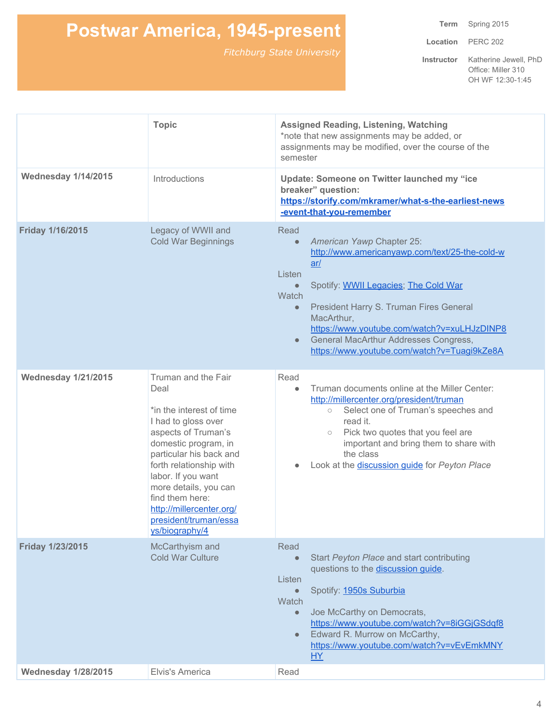**Term** Spring 2015

**Location** PERC 202

|                            | <b>Topic</b>                                                                                                                                                                                                                                                                                                                 | <b>Assigned Reading, Listening, Watching</b><br>*note that new assignments may be added, or<br>assignments may be modified, over the course of the<br>semester                                                                                                                                                                                                                                            |
|----------------------------|------------------------------------------------------------------------------------------------------------------------------------------------------------------------------------------------------------------------------------------------------------------------------------------------------------------------------|-----------------------------------------------------------------------------------------------------------------------------------------------------------------------------------------------------------------------------------------------------------------------------------------------------------------------------------------------------------------------------------------------------------|
| <b>Wednesday 1/14/2015</b> | Introductions                                                                                                                                                                                                                                                                                                                | Update: Someone on Twitter launched my "ice<br>breaker" question:<br>https://storify.com/mkramer/what-s-the-earliest-news<br>-event-that-you-remember                                                                                                                                                                                                                                                     |
| <b>Friday 1/16/2015</b>    | Legacy of WWII and<br><b>Cold War Beginnings</b>                                                                                                                                                                                                                                                                             | Read<br>American Yawp Chapter 25:<br>$\bullet$<br>http://www.americanyawp.com/text/25-the-cold-w<br>ar/<br>Listen<br>Spotify: WWII Legacies; The Cold War<br>$\bullet$<br>Watch<br>President Harry S. Truman Fires General<br>$\bullet$<br>MacArthur,<br>https://www.youtube.com/watch?v=xuLHJzDINP8<br>General MacArthur Addresses Congress,<br>$\bullet$<br>https://www.youtube.com/watch?v=Tuagi9kZe8A |
| <b>Wednesday 1/21/2015</b> | Truman and the Fair<br>Deal<br>*in the interest of time<br>I had to gloss over<br>aspects of Truman's<br>domestic program, in<br>particular his back and<br>forth relationship with<br>labor. If you want<br>more details, you can<br>find them here:<br>http://millercenter.org/<br>president/truman/essa<br>ys/biography/4 | Read<br>Truman documents online at the Miller Center:<br>$\bullet$<br>http://millercenter.org/president/truman<br>Select one of Truman's speeches and<br>$\circlearrowright$<br>read it.<br>Pick two quotes that you feel are<br>$\circ$<br>important and bring them to share with<br>the class<br>Look at the discussion guide for Peyton Place<br>$\bullet$                                             |
| Friday 1/23/2015           | McCarthyism and<br><b>Cold War Culture</b>                                                                                                                                                                                                                                                                                   | Read<br>Start Peyton Place and start contributing<br>$\bullet$<br>questions to the discussion guide.<br>Listen<br>Spotify: 1950s Suburbia<br>$\bullet$<br>Watch<br>Joe McCarthy on Democrats,<br>$\bullet$<br>https://www.youtube.com/watch?v=8iGGjGSdqf8<br>Edward R. Murrow on McCarthy,<br>$\bullet$<br>https://www.youtube.com/watch?v=vEvEmkMNY<br><b>HY</b>                                         |
| <b>Wednesday 1/28/2015</b> | Elvis's America                                                                                                                                                                                                                                                                                                              | Read                                                                                                                                                                                                                                                                                                                                                                                                      |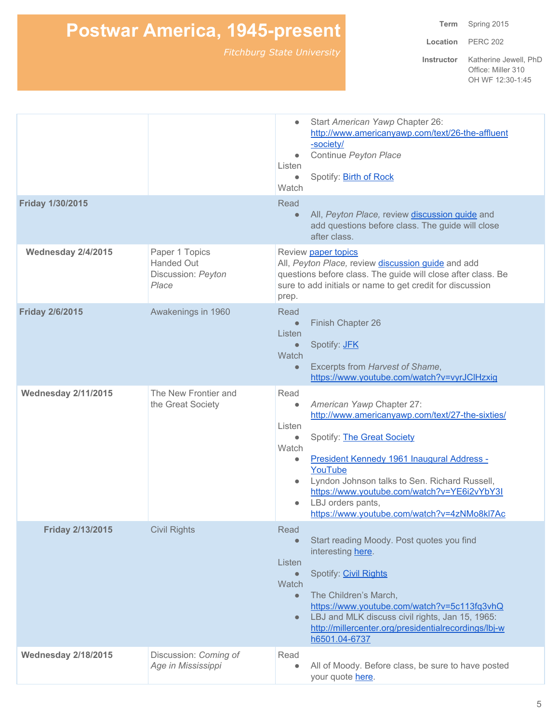**Term** Spring 2015

**Location** PERC 202

| <b>Wednesday 2/18/2015</b> | Discussion: Coming of<br>Age in Mississippi                        | Read<br>$\bullet$                                                           | All of Moody. Before class, be sure to have posted<br>your quote here.                                                                                                                                                                                                                                                                   |
|----------------------------|--------------------------------------------------------------------|-----------------------------------------------------------------------------|------------------------------------------------------------------------------------------------------------------------------------------------------------------------------------------------------------------------------------------------------------------------------------------------------------------------------------------|
| <b>Friday 2/13/2015</b>    | <b>Civil Rights</b>                                                | Read<br>Listen<br>$\bullet$<br>Watch<br>$\bullet$<br>$\bullet$              | Start reading Moody. Post quotes you find<br>interesting here.<br>Spotify: Civil Rights<br>The Children's March,<br>https://www.youtube.com/watch?v=5c113fq3vhQ<br>LBJ and MLK discuss civil rights, Jan 15, 1965:<br>http://millercenter.org/presidentialrecordings/lbj-w<br>h6501.04-6737                                              |
| <b>Wednesday 2/11/2015</b> | The New Frontier and<br>the Great Society                          | Read<br>$\bullet$<br>Listen<br>$\bullet$<br>Watch<br>$\bullet$<br>$\bullet$ | American Yawp Chapter 27:<br>http://www.americanyawp.com/text/27-the-sixties/<br>Spotify: The Great Society<br>President Kennedy 1961 Inaugural Address -<br>YouTube<br>Lyndon Johnson talks to Sen. Richard Russell,<br>https://www.youtube.com/watch?v=YE6i2vYbY3I<br>LBJ orders pants,<br>https://www.youtube.com/watch?v=4zNMo8kl7Ac |
| <b>Friday 2/6/2015</b>     | Awakenings in 1960                                                 | Read<br>$\bullet$<br>Listen<br>$\bullet$<br>Watch<br>$\bullet$              | Finish Chapter 26<br>Spotify: <b>JFK</b><br>Excerpts from Harvest of Shame,<br>https://www.youtube.com/watch?v=vyrJClHzxig                                                                                                                                                                                                               |
| Wednesday 2/4/2015         | Paper 1 Topics<br><b>Handed Out</b><br>Discussion: Peyton<br>Place | prep.                                                                       | Review paper topics<br>All, Peyton Place, review discussion quide and add<br>questions before class. The guide will close after class. Be<br>sure to add initials or name to get credit for discussion                                                                                                                                   |
| Friday 1/30/2015           |                                                                    | Read<br>$\bullet$                                                           | All, Peyton Place, review discussion guide and<br>add questions before class. The guide will close<br>after class.                                                                                                                                                                                                                       |
|                            |                                                                    | $\bullet$<br>Listen<br>$\bullet$<br>Watch                                   | Start American Yawp Chapter 26:<br>http://www.americanyawp.com/text/26-the-affluent<br>-society/<br>Continue Peyton Place<br>Spotify: <b>Birth of Rock</b>                                                                                                                                                                               |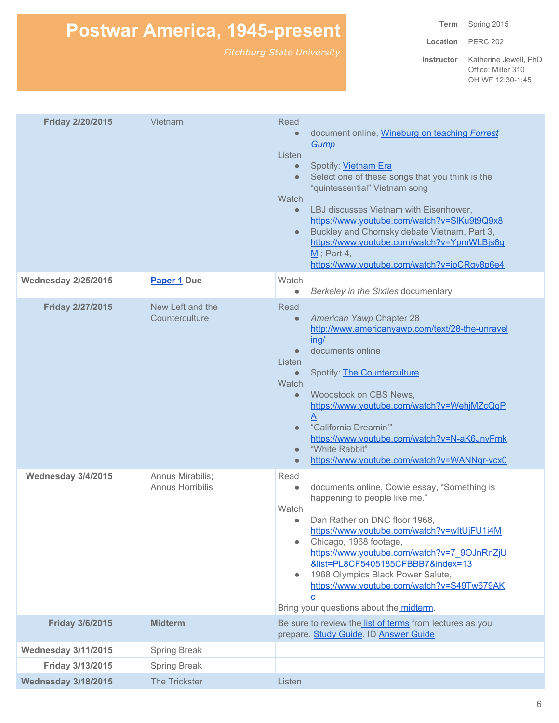**Term** Spring 2015

**Location** PERC 202

| <b>Friday 2/20/2015</b>    | Vietnam                                     | Read<br>document online, Wineburg on teaching Forrest<br>$\bullet$<br>Gump<br>Listen<br>Spotify: Vietnam Era<br>$\bullet$<br>Select one of these songs that you think is the<br>$\bullet$<br>"quintessential" Vietnam song<br>Watch<br>LBJ discusses Vietnam with Eisenhower,<br>$\bullet$<br>https://www.youtube.com/watch?v=SIKu9t9Q9x8<br>Buckley and Chomsky debate Vietnam, Part 3,<br>$\bullet$<br>https://www.youtube.com/watch?v=YpmWLBjs6g<br>$M$ ; Part 4,<br>https://www.youtube.com/watch?v=ipCRgy8p6e4 |
|----------------------------|---------------------------------------------|---------------------------------------------------------------------------------------------------------------------------------------------------------------------------------------------------------------------------------------------------------------------------------------------------------------------------------------------------------------------------------------------------------------------------------------------------------------------------------------------------------------------|
| <b>Wednesday 2/25/2015</b> | Paper 1 Due                                 | Watch<br>Berkeley in the Sixties documentary<br>۰                                                                                                                                                                                                                                                                                                                                                                                                                                                                   |
| <b>Friday 2/27/2015</b>    | New Left and the<br>Counterculture          | Read<br>American Yawp Chapter 28<br>$\bullet$<br>http://www.americanyawp.com/text/28-the-unravel<br>inq/<br>documents online<br>$\bullet$<br>Listen<br>Spotify: <b>The Counterculture</b><br>$\bullet$<br>Watch<br>Woodstock on CBS News,<br>$\bullet$<br>https://www.youtube.com/watch?v=WehjMZcQqP<br>"California Dreamin""<br>$\bullet$<br>https://www.youtube.com/watch?v=N-aK6JnyFmk<br>"White Rabbit"<br>$\bullet$<br>https://www.youtube.com/watch?v=WANNqr-vcx0<br>$\bullet$                                |
| Wednesday 3/4/2015         | Annus Mirabilis;<br><b>Annus Horribilis</b> | Read<br>documents online, Cowie essay, "Something is<br>$\bullet$<br>happening to people like me."<br>Watch<br>Dan Rather on DNC floor 1968,<br>$\bullet$<br>https://www.youtube.com/watch?v=wltUjFU1i4M<br>Chicago, 1968 footage,<br>$\bullet$<br>https://www.youtube.com/watch?v=7_9OJnRnZjU<br>&list=PL8CF5405185CFBBB7&index=13<br>1968 Olympics Black Power Salute,<br>$\bullet$<br>https://www.youtube.com/watch?v=S49Tw679AK<br>c<br>Bring your questions about the midterm.                                 |
| <b>Friday 3/6/2015</b>     | <b>Midterm</b>                              | Be sure to review the list of terms from lectures as you<br>prepare. Study Guide. ID Answer Guide                                                                                                                                                                                                                                                                                                                                                                                                                   |
| <b>Wednesday 3/11/2015</b> | Spring Break                                |                                                                                                                                                                                                                                                                                                                                                                                                                                                                                                                     |
| Friday 3/13/2015           | <b>Spring Break</b>                         |                                                                                                                                                                                                                                                                                                                                                                                                                                                                                                                     |
| <b>Wednesday 3/18/2015</b> | The Trickster                               | Listen                                                                                                                                                                                                                                                                                                                                                                                                                                                                                                              |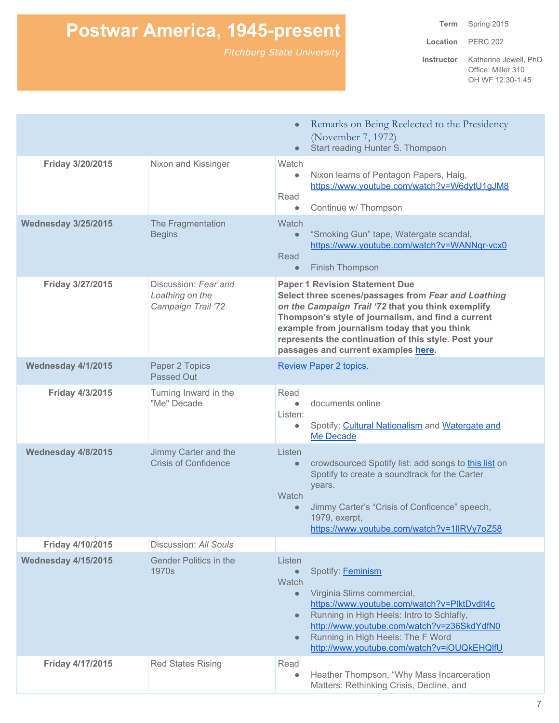**Term** Spring 2015

**Location** PERC 202

|                            |                                                               | Remarks on Being Reelected to the Presidency<br>$\bullet$<br>(November 7, 1972)<br>Start reading Hunter S. Thompson<br>$\bullet$                                                                                                                                                                                                                        |
|----------------------------|---------------------------------------------------------------|---------------------------------------------------------------------------------------------------------------------------------------------------------------------------------------------------------------------------------------------------------------------------------------------------------------------------------------------------------|
| Friday 3/20/2015           | Nixon and Kissinger                                           | Watch<br>Nixon learns of Pentagon Papers, Haig,<br>$\bullet$<br>https://www.youtube.com/watch?v=W6dytU1gJM8<br>Read<br>Continue w/ Thompson<br>$\bullet$                                                                                                                                                                                                |
| <b>Wednesday 3/25/2015</b> | The Fragmentation<br><b>Begins</b>                            | Watch<br>"Smoking Gun" tape, Watergate scandal,<br>$\bullet$<br>https://www.youtube.com/watch?v=WANNqr-vcx0<br>Read<br><b>Finish Thompson</b><br>$\bullet$                                                                                                                                                                                              |
| Friday 3/27/2015           | Discussion: Fear and<br>Loathing on the<br>Campaign Trail '72 | <b>Paper 1 Revision Statement Due</b><br>Select three scenes/passages from Fear and Loathing<br>on the Campaign Trail '72 that you think exemplify<br>Thompson's style of journalism, and find a current<br>example from journalism today that you think<br>represents the continuation of this style. Post your<br>passages and current examples here. |
| Wednesday 4/1/2015         | Paper 2 Topics<br><b>Passed Out</b>                           | <b>Review Paper 2 topics.</b>                                                                                                                                                                                                                                                                                                                           |
| <b>Friday 4/3/2015</b>     | Turning Inward in the<br>"Me" Decade                          | Read<br>documents online<br>$\bullet$<br>Listen:<br>Spotify: Cultural Nationalism and Watergate and<br>$\bullet$<br>Me Decade                                                                                                                                                                                                                           |
| Wednesday 4/8/2015         | Jimmy Carter and the<br><b>Crisis of Confidence</b>           | Listen<br>crowdsourced Spotify list: add songs to this list on<br>$\bullet$<br>Spotify to create a soundtrack for the Carter<br>years.<br>Watch<br>Jimmy Carter's "Crisis of Conficence" speech,<br>$\bullet$<br>1979, exerpt,<br>https://www.youtube.com/watch?v=1llRVy7oZ58                                                                           |
| Friday 4/10/2015           | Discussion: All Souls                                         |                                                                                                                                                                                                                                                                                                                                                         |
| <b>Wednesday 4/15/2015</b> | <b>Gender Politics in the</b><br>1970s                        | Listen<br>Spotify: Feminism<br>Watch<br>Virginia Slims commercial,<br>$\bullet$<br>https://www.youtube.com/watch?v=PlktDvdlt4c<br>Running in High Heels: Intro to Schlafly,<br>$\bullet$<br>http://www.youtube.com/watch?v=z36SkdYdfN0<br>Running in High Heels: The F Word<br>$\bullet$<br>http://www.youtube.com/watch?v=iOUQkEHQIfU                  |
| Friday 4/17/2015           | <b>Red States Rising</b>                                      | Read<br>Heather Thompson, "Why Mass Incarceration<br>۰<br>Matters: Rethinking Crisis, Decline, and                                                                                                                                                                                                                                                      |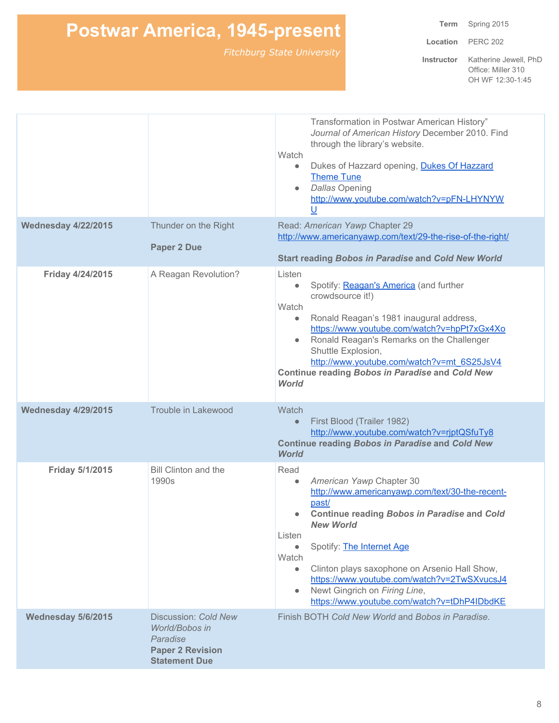**Term** Spring 2015

**Location** PERC 202

|                            |                                                                                                       | Transformation in Postwar American History"<br>Journal of American History December 2010. Find<br>through the library's website.<br>Watch<br>Dukes of Hazzard opening, Dukes Of Hazzard<br>$\bullet$<br><b>Theme Tune</b><br><b>Dallas Opening</b><br>$\bullet$<br>http://www.youtube.com/watch?v=pFN-LHYNYW<br>$\cup$                                                                                                                                                  |
|----------------------------|-------------------------------------------------------------------------------------------------------|-------------------------------------------------------------------------------------------------------------------------------------------------------------------------------------------------------------------------------------------------------------------------------------------------------------------------------------------------------------------------------------------------------------------------------------------------------------------------|
| <b>Wednesday 4/22/2015</b> | Thunder on the Right                                                                                  | Read: American Yawp Chapter 29<br>http://www.americanyawp.com/text/29-the-rise-of-the-right/                                                                                                                                                                                                                                                                                                                                                                            |
|                            | <b>Paper 2 Due</b>                                                                                    | <b>Start reading Bobos in Paradise and Cold New World</b>                                                                                                                                                                                                                                                                                                                                                                                                               |
| Friday 4/24/2015           | A Reagan Revolution?                                                                                  | Listen<br>Spotify: Reagan's America (and further<br>$\bullet$<br>crowdsource it!)<br>Watch<br>Ronald Reagan's 1981 inaugural address,<br>$\bullet$<br>https://www.youtube.com/watch?v=hpPt7xGx4Xo<br>Ronald Reagan's Remarks on the Challenger<br>Shuttle Explosion,<br>http://www.youtube.com/watch?v=mt 6S25JsV4<br><b>Continue reading Bobos in Paradise and Cold New</b><br><b>World</b>                                                                            |
| <b>Wednesday 4/29/2015</b> | Trouble in Lakewood                                                                                   | Watch<br>First Blood (Trailer 1982)<br>$\bullet$<br>http://www.youtube.com/watch?v=rjptQSfuTy8<br><b>Continue reading Bobos in Paradise and Cold New</b><br><b>World</b>                                                                                                                                                                                                                                                                                                |
| Friday 5/1/2015            | <b>Bill Clinton and the</b><br>1990s                                                                  | Read<br>American Yawp Chapter 30<br>$\bullet$<br>http://www.americanyawp.com/text/30-the-recent-<br>past/<br><b>Continue reading Bobos in Paradise and Cold</b><br>$\bullet$<br><b>New World</b><br>Listen<br>Spotify: The Internet Age<br>$\bullet$<br>Watch<br>Clinton plays saxophone on Arsenio Hall Show,<br>$\bullet$<br>https://www.youtube.com/watch?v=2TwSXvucsJ4<br>Newt Gingrich on Firing Line,<br>$\bullet$<br>https://www.youtube.com/watch?v=tDhP4IDbdKE |
| Wednesday 5/6/2015         | Discussion: Cold New<br>World/Bobos in<br>Paradise<br><b>Paper 2 Revision</b><br><b>Statement Due</b> | Finish BOTH Cold New World and Bobos in Paradise.                                                                                                                                                                                                                                                                                                                                                                                                                       |